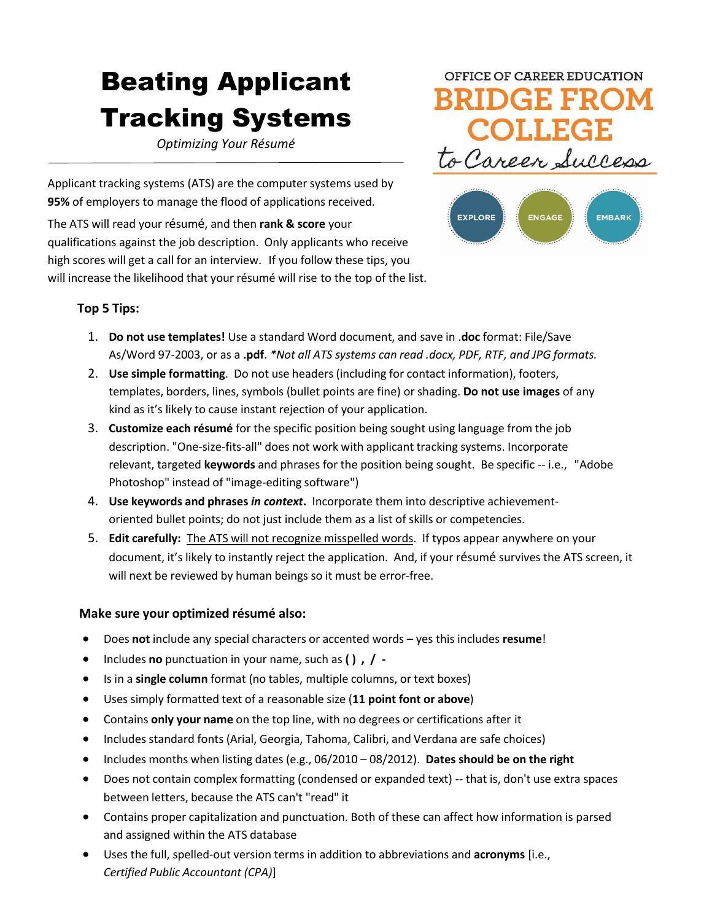# Beating Applicant Tracking Systems

*Optimizing Your Résumé*

Applicant tracking systems (ATS) are the computer systems used by **95%** of employers to manage the flood of applications received.

The ATS will read your résumé, and then **rank & score** your qualifications against the job description. Only applicants who receive high scores will get a call for an interview. If you follow these tips, you will increase the likelihood that your résumé will rise to the top of the list.

## OFFICE OF CAREER EDUCATION **BRIDGE FROM** COLLEG to Career Success



#### **Top 5 Tips:**

- 1. **Do not use templates!** Use a standard Word document, and save in .**doc** format: File/Save As/Word 97-2003, or as a **.pdf**. *\*Not all ATS systems can read .docx, PDF, RTF, and JPG formats.*
- 2. **Use simple formatting**. Do not use headers (including for contact information), footers, templates, borders, lines, symbols (bullet points are fine) or shading. **Do not use images** of any kind as it's likely to cause instant rejection of your application.
- 3. **Customize each résumé** for the specific position being sought using language from the job description. "One-size-fits-all" does not work with applicant tracking systems. Incorporate relevant, targeted **keywords** and phrases for the position being sought. Be specific -- i.e., "Adobe Photoshop" instead of "image-editing software")
- 4. **Use keywords and phrases** *in context***.** Incorporate them into descriptive achievementoriented bullet points; do not just include them as a list of skills or competencies.
- 5. **Edit carefully:** The ATS will not recognize misspelled words. If typos appear anywhere on your document, it's likely to instantly reject the application. And, if your résumé survives the ATS screen, it will next be reviewed by human beings so it must be error-free.

#### **Make sure your optimized résumé also:**

- Does **not** include any special characters or accented words yes this includes **resume**!
- Includes **no** punctuation in your name, such as **( ) , / -**
- Is in a **single column** format (no tables, multiple columns, or text boxes)
- Uses simply formatted text of a reasonable size (**11 point font or above**)
- Contains **only your name** on the top line, with no degrees or certifications after it
- Includes standard fonts (Arial, Georgia, Tahoma, Calibri, and Verdana are safe choices)
- Includes months when listing dates (e.g., 06/2010 08/2012). **Dates should be on the right**
- Does not contain complex formatting (condensed or expanded text) -- that is, don't use extra spaces between letters, because the ATS can't "read" it
- Contains proper capitalization and punctuation. Both of these can affect how information is parsed and assigned within the ATS database
- Uses the full, spelled-out version terms in addition to abbreviations and **acronyms** [i.e., *Certified Public Accountant (CPA)*]